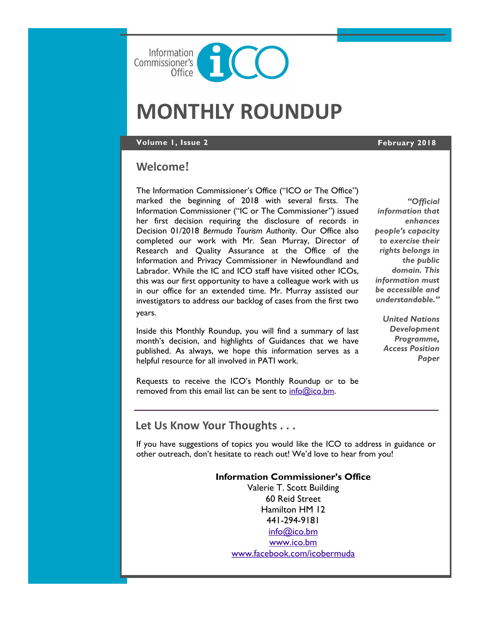

# **MONTHLY ROUNDUP**

**Volume 1, Issue 2 February 2018**

## **Welcome**!

The Information Commissioner's Office ("ICO or The Office") marked the beginning of 2018 with several firsts. The Information Commissioner ("IC or The Commissioner") issued her first decision requiring the disclosure of records in Decision 01/2018 *Bermuda Tourism Authority*. Our Office also completed our work with Mr. Sean Murray, Director of Research and Quality Assurance at the Office of the Information and Privacy Commissioner in Newfoundland and Labrador. While the IC and ICO staff have visited other ICOs, this was our first opportunity to have a colleague work with us in our office for an extended time. Mr. Murray assisted our investigators to address our backlog of cases from the first two years.

Inside this Monthly Roundup, you will find a summary of last month's decision, and highlights of Guidances that we have published. As always, we hope this information serves as a helpful resource for all involved in PATI work.

*"Official information that enhances people's capacity to exercise their rights belongs in the public domain. This information must be accessible and understandable."*

> *United Nations Development Programme, Access Position Paper*

Requests to receive the ICO's Monthly Roundup or to be removed from this email list can be sent to [info@ico.bm.](mailto:info@ico.bm)

## **Let Us Know Your Thoughts . . .**

If you have suggestions of topics you would like the ICO to address in guidance or other outreach, don't hesitate to reach out! We'd love to hear from you!

## **Information Commissioner's Office**

Valerie T. Scott Building 60 Reid Street Hamilton HM 12 441-294-9181 [info@ico.bm](mailto:info@ico.bm) [www.ico.bm](http://www.ico.bm) [www.facebook.com/icobermuda](http://www.facebook.com/icobermuda/ICOFS01S/Folder-Redirection$/gsgutierrez/Documents/Admin)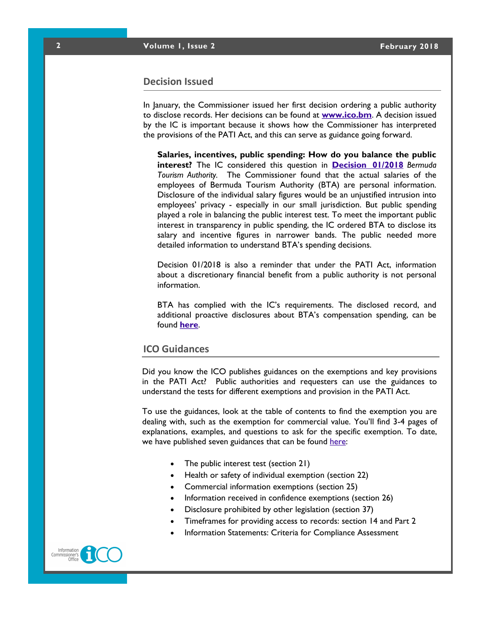#### **Decision Issued**

In January, the Commissioner issued her first decision ordering a public authority to disclose records. Her decisions can be found at **[www.ico.bm](http://www.ico.bm)**. A decision issued by the IC is important because it shows how the Commissioner has interpreted the provisions of the PATI Act, and this can serve as guidance going forward.

**Salaries, incentives, public spending: How do you balance the public interest?** The IC considered this question in **[Decision 01/2018](https://docs.wixstatic.com/ugd/5803dc_0e5eaf3aec254be2aa1f34cfa696f304.pdf)** *Bermuda Tourism Authority.* The Commissioner found that the actual salaries of the employees of Bermuda Tourism Authority (BTA) are personal information. Disclosure of the individual salary figures would be an unjustified intrusion into employees' privacy - especially in our small jurisdiction. But public spending played a role in balancing the public interest test. To meet the important public interest in transparency in public spending, the IC ordered BTA to disclose its salary and incentive figures in narrower bands. The public needed more detailed information to understand BTA's spending decisions.

Decision 01/2018 is also a reminder that under the PATI Act, information about a discretionary financial benefit from a public authority is not personal information.

BTA has complied with the IC's requirements. The disclosed record, and additional proactive disclosures about BTA's compensation spending, can be found **[here](https://www.gotobermuda.com/sites/default/master/files/bta_2014-2016_comp1.pdf)**.

#### **ICO Guidances**

Did you know the ICO publishes guidances on the exemptions and key provisions in the PATI Act? Public authorities and requesters can use the guidances to understand the tests for different exemptions and provision in the PATI Act.

To use the guidances, look at the table of contents to find the exemption you are dealing with, such as the exemption for commercial value. You'll find 3-4 pages of explanations, examples, and questions to ask for the specific exemption. To date, we have published seven guidances that can be found [here:](https://www.ico.bm/exemptions-key-provision-guidances)

- [The public interest test](https://docs.wixstatic.com/ugd/5803dc_0789d401790c43979d9d3026f9476d7a.pdf/ICOFS01S/Folder-Redirection$/gsgutierrez/Documents/Admin) (section 21)
- [Health or safety of individual exemption](https://docs.wixstatic.com/ugd/5803dc_e34066e165d74393bcff9c6c2ce4fd27.pdf/ICOFS01S/Folder-Redirection$/gsgutierrez/Documents/Admin) (section 22)
- [Commercial information exemptions](https://docs.wixstatic.com/ugd/5803dc_41b4a19355904ab3819509db409a6665.pdf/ICOFS01S/Folder-Redirection$/gsgutierrez/Documents/Admin) (section 25)
- [Information received in confidence exemptions](https://docs.wixstatic.com/ugd/5803dc_424636930bce4260bacbcbf1e425f7b8.pdf/ICOFS01S/Folder-Redirection$/gsgutierrez/Documents/Admin) (section 26)
- [Disclosure prohibited by other legislation](https://docs.wixstatic.com/ugd/5803dc_0a0a8d2a68e54639a101b5baafa69df2.pdf/ICOFS01S/Folder-Redirection$/gsgutierrez/Documents/Admin) (section 37)
- [Timeframes for providing access to records:](https://docs.wixstatic.com/ugd/5803dc_58e77da9edcf46e183ea2b5af06fdf5e.pdf) section 14 and Part 2
- [Information Statements: Criteria for Compliance Assessment](https://docs.wixstatic.com/ugd/5803dc_c1b48288268e4680bfd20fb055addd6d.pdf/ICOFS01S/Folder-Redirection$/gsgutierrez/Documents/Admin)